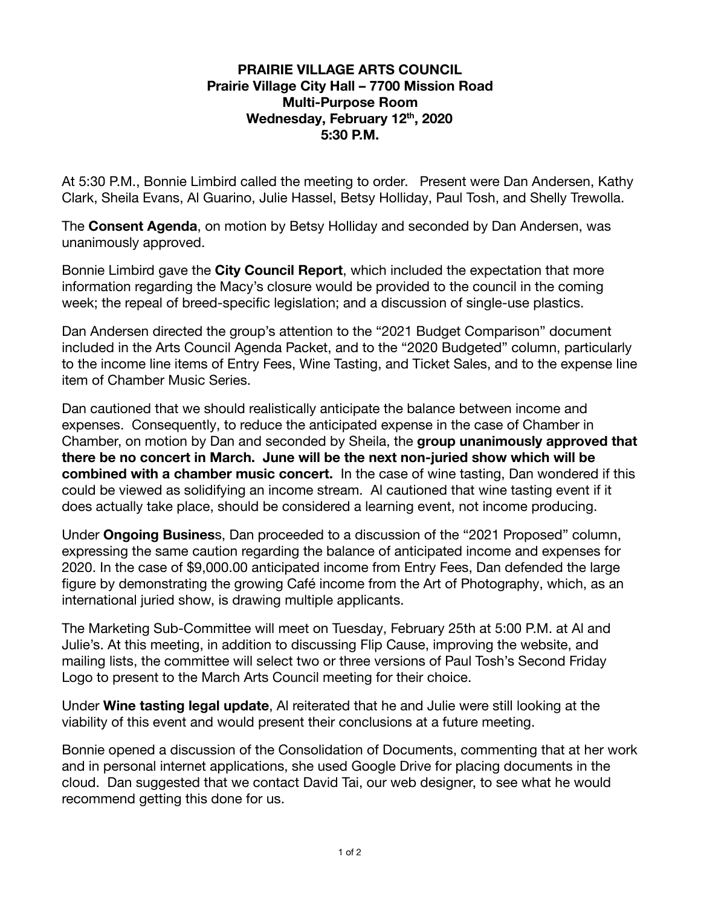## **PRAIRIE VILLAGE ARTS COUNCIL Prairie Village City Hall – 7700 Mission Road Multi-Purpose Room Wednesday, February 12 th , 2020 5:30 P.M.**

At 5:30 P.M., Bonnie Limbird called the meeting to order. Present were Dan Andersen, Kathy Clark, Sheila Evans, Al Guarino, Julie Hassel, Betsy Holliday, Paul Tosh, and Shelly Trewolla.

The **Consent Agenda**, on motion by Betsy Holliday and seconded by Dan Andersen, was unanimously approved.

Bonnie Limbird gave the **City Council Report**, which included the expectation that more information regarding the Macy's closure would be provided to the council in the coming week; the repeal of breed-specific legislation; and a discussion of single-use plastics.

Dan Andersen directed the group's attention to the "2021 Budget Comparison" document included in the Arts Council Agenda Packet, and to the "2020 Budgeted" column, particularly to the income line items of Entry Fees, Wine Tasting, and Ticket Sales, and to the expense line item of Chamber Music Series.

Dan cautioned that we should realistically anticipate the balance between income and expenses. Consequently, to reduce the anticipated expense in the case of Chamber in Chamber, on motion by Dan and seconded by Sheila, the **group unanimously approved that there be no concert in March. June will be the next non-juried show which will be combined with a chamber music concert.** In the case of wine tasting, Dan wondered if this could be viewed as solidifying an income stream. Al cautioned that wine tasting event if it does actually take place, should be considered a learning event, not income producing.

Under **Ongoing Busines** s, Dan proceeded to a discussion of the "2021 Proposed" column, expressing the same caution regarding the balance of anticipated income and expenses for 2020. In the case of \$9,000.00 anticipated income from Entry Fees, Dan defended the large figure by demonstrating the growing Café income from the Art of Photography, which, as an international juried show, is drawing multiple applicants.

The Marketing Sub-Committee will meet on Tuesday, February 25th at 5:00 P.M. at Al and Julie's. At this meeting, in addition to discussing Flip Cause, improving the website, and mailing lists, the committee will select two or three versions of Paul Tosh's Second Friday Logo to present to the March Arts Council meeting for their choice.

Under **Wine tasting legal update** , Al reiterated that he and Julie were still looking at the viability of this event and would present their conclusions at a future meeting.

Bonnie opened a discussion of the Consolidation of Documents, commenting that at her work and in personal internet applications, she used Google Drive for placing documents in the cloud. Dan suggested that we contact David Tai, our web designer, to see what he would recommend getting this done for us.